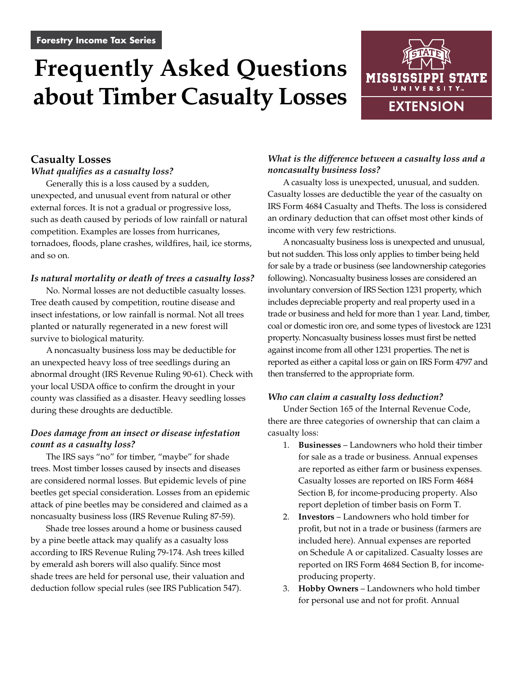# **Frequently Asked Questions about Timber Casualty Losses**



# **Casualty Losses** *What qualifies as a casualty loss?*

Generally this is a loss caused by a sudden, unexpected, and unusual event from natural or other external forces. It is not a gradual or progressive loss, such as death caused by periods of low rainfall or natural competition. Examples are losses from hurricanes, tornadoes, floods, plane crashes, wildfires, hail, ice storms, and so on.

#### *Is natural mortality or death of trees a casualty loss?*

No. Normal losses are not deductible casualty losses. Tree death caused by competition, routine disease and insect infestations, or low rainfall is normal. Not all trees planted or naturally regenerated in a new forest will survive to biological maturity.

A noncasualty business loss may be deductible for an unexpected heavy loss of tree seedlings during an abnormal drought (IRS Revenue Ruling 90-61). Check with your local USDA office to confirm the drought in your county was classified as a disaster. Heavy seedling losses during these droughts are deductible.

# *Does damage from an insect or disease infestation count as a casualty loss?*

The IRS says "no" for timber, "maybe" for shade trees. Most timber losses caused by insects and diseases are considered normal losses. But epidemic levels of pine beetles get special consideration. Losses from an epidemic attack of pine beetles may be considered and claimed as a noncasualty business loss (IRS Revenue Ruling 87-59).

Shade tree losses around a home or business caused by a pine beetle attack may qualify as a casualty loss according to IRS Revenue Ruling 79-174. Ash trees killed by emerald ash borers will also qualify. Since most shade trees are held for personal use, their valuation and deduction follow special rules (see IRS Publication 547).

# *What is the difference between a casualty loss and a noncasualty business loss?*

A casualty loss is unexpected, unusual, and sudden. Casualty losses are deductible the year of the casualty on IRS Form 4684 Casualty and Thefts. The loss is considered an ordinary deduction that can offset most other kinds of income with very few restrictions.

A noncasualty business loss is unexpected and unusual, but not sudden. This loss only applies to timber being held for sale by a trade or business (see landownership categories following). Noncasualty business losses are considered an involuntary conversion of IRS Section 1231 property, which includes depreciable property and real property used in a trade or business and held for more than 1 year. Land, timber, coal or domestic iron ore, and some types of livestock are 1231 property. Noncasualty business losses must first be netted against income from all other 1231 properties. The net is reported as either a capital loss or gain on IRS Form 4797 and then transferred to the appropriate form.

#### *Who can claim a casualty loss deduction?*

Under Section 165 of the Internal Revenue Code, there are three categories of ownership that can claim a casualty loss:

- 1. **Businesses** Landowners who hold their timber for sale as a trade or business. Annual expenses are reported as either farm or business expenses. Casualty losses are reported on IRS Form 4684 Section B, for income-producing property. Also report depletion of timber basis on Form T.
- 2. **Investors** Landowners who hold timber for profit, but not in a trade or business (farmers are included here). Annual expenses are reported on Schedule A or capitalized. Casualty losses are reported on IRS Form 4684 Section B, for incomeproducing property.
- 3. **Hobby Owners** Landowners who hold timber for personal use and not for profit. Annual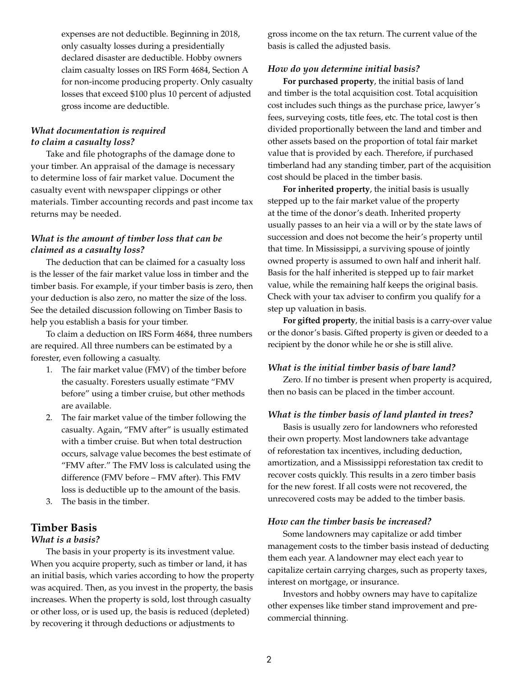expenses are not deductible. Beginning in 2018, only casualty losses during a presidentially declared disaster are deductible. Hobby owners claim casualty losses on IRS Form 4684, Section A for non-income producing property. Only casualty losses that exceed \$100 plus 10 percent of adjusted gross income are deductible.

#### *What documentation is required to claim a casualty loss?*

Take and file photographs of the damage done to your timber. An appraisal of the damage is necessary to determine loss of fair market value. Document the casualty event with newspaper clippings or other materials. Timber accounting records and past income tax returns may be needed.

#### *What is the amount of timber loss that can be claimed as a casualty loss?*

The deduction that can be claimed for a casualty loss is the lesser of the fair market value loss in timber and the timber basis. For example, if your timber basis is zero, then your deduction is also zero, no matter the size of the loss. See the detailed discussion following on Timber Basis to help you establish a basis for your timber.

To claim a deduction on IRS Form 4684, three numbers are required. All three numbers can be estimated by a forester, even following a casualty.

- 1. The fair market value (FMV) of the timber before the casualty. Foresters usually estimate "FMV before" using a timber cruise, but other methods are available.
- 2. The fair market value of the timber following the casualty. Again, "FMV after" is usually estimated with a timber cruise. But when total destruction occurs, salvage value becomes the best estimate of "FMV after." The FMV loss is calculated using the difference (FMV before – FMV after). This FMV loss is deductible up to the amount of the basis.
- 3. The basis in the timber.

# **Timber Basis**

#### *What is a basis?*

The basis in your property is its investment value. When you acquire property, such as timber or land, it has an initial basis, which varies according to how the property was acquired. Then, as you invest in the property, the basis increases. When the property is sold, lost through casualty or other loss, or is used up, the basis is reduced (depleted) by recovering it through deductions or adjustments to

gross income on the tax return. The current value of the basis is called the adjusted basis.

#### *How do you determine initial basis?*

**For purchased property**, the initial basis of land and timber is the total acquisition cost. Total acquisition cost includes such things as the purchase price, lawyer's fees, surveying costs, title fees, etc. The total cost is then divided proportionally between the land and timber and other assets based on the proportion of total fair market value that is provided by each. Therefore, if purchased timberland had any standing timber, part of the acquisition cost should be placed in the timber basis.

**For inherited property**, the initial basis is usually stepped up to the fair market value of the property at the time of the donor's death. Inherited property usually passes to an heir via a will or by the state laws of succession and does not become the heir's property until that time. In Mississippi, a surviving spouse of jointly owned property is assumed to own half and inherit half. Basis for the half inherited is stepped up to fair market value, while the remaining half keeps the original basis. Check with your tax adviser to confirm you qualify for a step up valuation in basis.

**For gifted property**, the initial basis is a carry-over value or the donor's basis. Gifted property is given or deeded to a recipient by the donor while he or she is still alive.

#### *What is the initial timber basis of bare land?*

Zero. If no timber is present when property is acquired, then no basis can be placed in the timber account.

#### *What is the timber basis of land planted in trees?*

Basis is usually zero for landowners who reforested their own property. Most landowners take advantage of reforestation tax incentives, including deduction, amortization, and a Mississippi reforestation tax credit to recover costs quickly. This results in a zero timber basis for the new forest. If all costs were not recovered, the unrecovered costs may be added to the timber basis.

#### *How can the timber basis be increased?*

Some landowners may capitalize or add timber management costs to the timber basis instead of deducting them each year. A landowner may elect each year to capitalize certain carrying charges, such as property taxes, interest on mortgage, or insurance.

Investors and hobby owners may have to capitalize other expenses like timber stand improvement and precommercial thinning.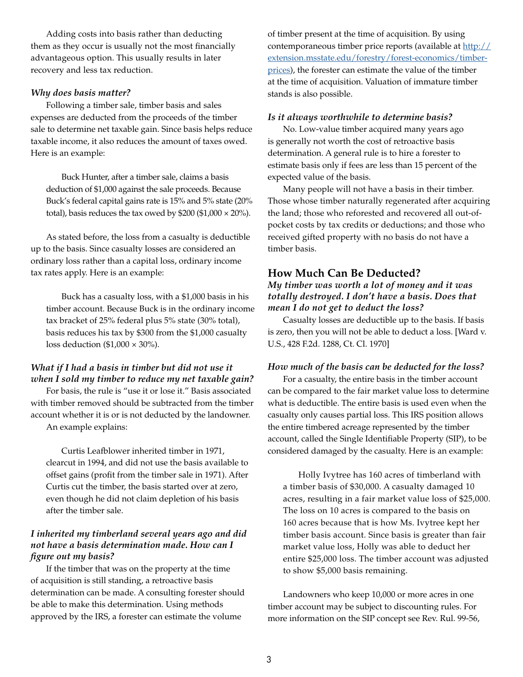Adding costs into basis rather than deducting them as they occur is usually not the most financially advantageous option. This usually results in later recovery and less tax reduction.

#### *Why does basis matter?*

Following a timber sale, timber basis and sales expenses are deducted from the proceeds of the timber sale to determine net taxable gain. Since basis helps reduce taxable income, it also reduces the amount of taxes owed. Here is an example:

Buck Hunter, after a timber sale, claims a basis deduction of \$1,000 against the sale proceeds. Because Buck's federal capital gains rate is 15% and 5% state (20% total), basis reduces the tax owed by \$200 (\$1,000  $\times$  20%).

As stated before, the loss from a casualty is deductible up to the basis. Since casualty losses are considered an ordinary loss rather than a capital loss, ordinary income tax rates apply. Here is an example:

Buck has a casualty loss, with a \$1,000 basis in his timber account. Because Buck is in the ordinary income tax bracket of 25% federal plus 5% state (30% total), basis reduces his tax by \$300 from the \$1,000 casualty loss deduction  $(\$1,000 \times 30\%$ ).

# *What if I had a basis in timber but did not use it when I sold my timber to reduce my net taxable gain?*

For basis, the rule is "use it or lose it." Basis associated with timber removed should be subtracted from the timber account whether it is or is not deducted by the landowner.

An example explains:

Curtis Leafblower inherited timber in 1971, clearcut in 1994, and did not use the basis available to offset gains (profit from the timber sale in 1971). After Curtis cut the timber, the basis started over at zero, even though he did not claim depletion of his basis after the timber sale.

# *I inherited my timberland several years ago and did not have a basis determination made. How can I figure out my basis?*

If the timber that was on the property at the time of acquisition is still standing, a retroactive basis determination can be made. A consulting forester should be able to make this determination. Using methods approved by the IRS, a forester can estimate the volume

of timber present at the time of acquisition. By using contemporaneous timber price reports (available at [http://](http://extension.msstate.edu/forestry/forest-economics/timber-prices) [extension.msstate.edu/forestry/forest-economics/timber](http://extension.msstate.edu/forestry/forest-economics/timber-prices)[prices\)](http://extension.msstate.edu/forestry/forest-economics/timber-prices), the forester can estimate the value of the timber at the time of acquisition. Valuation of immature timber stands is also possible.

#### *Is it always worthwhile to determine basis?*

No. Low-value timber acquired many years ago is generally not worth the cost of retroactive basis determination. A general rule is to hire a forester to estimate basis only if fees are less than 15 percent of the expected value of the basis.

Many people will not have a basis in their timber. Those whose timber naturally regenerated after acquiring the land; those who reforested and recovered all out-ofpocket costs by tax credits or deductions; and those who received gifted property with no basis do not have a timber basis.

# **How Much Can Be Deducted?**

*My timber was worth a lot of money and it was totally destroyed. I don't have a basis. Does that mean I do not get to deduct the loss?*

Casualty losses are deductible up to the basis. If basis is zero, then you will not be able to deduct a loss. [Ward v. U.S., 428 F.2d. 1288, Ct. Cl. 1970]

#### *How much of the basis can be deducted for the loss?*

For a casualty, the entire basis in the timber account can be compared to the fair market value loss to determine what is deductible. The entire basis is used even when the casualty only causes partial loss. This IRS position allows the entire timbered acreage represented by the timber account, called the Single Identifiable Property (SIP), to be considered damaged by the casualty. Here is an example:

Holly Ivytree has 160 acres of timberland with a timber basis of \$30,000. A casualty damaged 10 acres, resulting in a fair market value loss of \$25,000. The loss on 10 acres is compared to the basis on 160 acres because that is how Ms. Ivytree kept her timber basis account. Since basis is greater than fair market value loss, Holly was able to deduct her entire \$25,000 loss. The timber account was adjusted to show \$5,000 basis remaining.

Landowners who keep 10,000 or more acres in one timber account may be subject to discounting rules. For more information on the SIP concept see Rev. Rul. 99-56,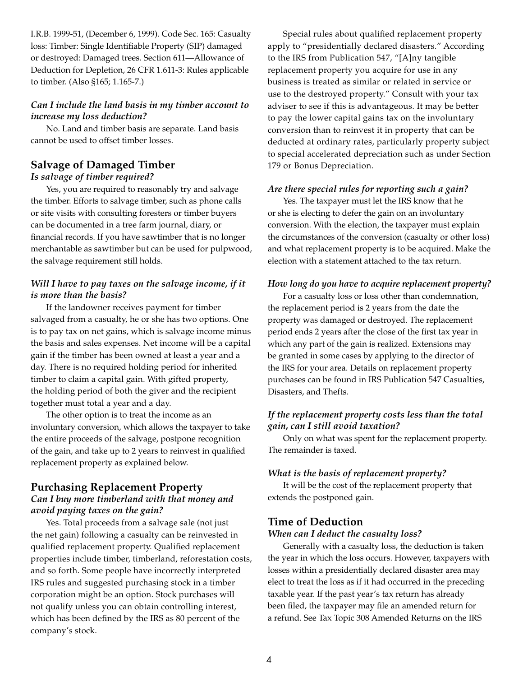I.R.B. 1999-51, (December 6, 1999). Code Sec. 165: Casualty loss: Timber: Single Identifiable Property (SIP) damaged or destroyed: Damaged trees. Section 611—Allowance of Deduction for Depletion, 26 CFR 1.611-3: Rules applicable to timber. (Also §165; 1.165-7.)

#### *Can I include the land basis in my timber account to increase my loss deduction?*

No. Land and timber basis are separate. Land basis cannot be used to offset timber losses.

# **Salvage of Damaged Timber**

#### *Is salvage of timber required?*

Yes, you are required to reasonably try and salvage the timber. Efforts to salvage timber, such as phone calls or site visits with consulting foresters or timber buyers can be documented in a tree farm journal, diary, or financial records. If you have sawtimber that is no longer merchantable as sawtimber but can be used for pulpwood, the salvage requirement still holds.

# *Will I have to pay taxes on the salvage income, if it is more than the basis?*

If the landowner receives payment for timber salvaged from a casualty, he or she has two options. One is to pay tax on net gains, which is salvage income minus the basis and sales expenses. Net income will be a capital gain if the timber has been owned at least a year and a day. There is no required holding period for inherited timber to claim a capital gain. With gifted property, the holding period of both the giver and the recipient together must total a year and a day.

The other option is to treat the income as an involuntary conversion, which allows the taxpayer to take the entire proceeds of the salvage, postpone recognition of the gain, and take up to 2 years to reinvest in qualified replacement property as explained below.

# **Purchasing Replacement Property**

# *Can I buy more timberland with that money and avoid paying taxes on the gain?*

Yes. Total proceeds from a salvage sale (not just the net gain) following a casualty can be reinvested in qualified replacement property. Qualified replacement properties include timber, timberland, reforestation costs, and so forth. Some people have incorrectly interpreted IRS rules and suggested purchasing stock in a timber corporation might be an option. Stock purchases will not qualify unless you can obtain controlling interest, which has been defined by the IRS as 80 percent of the company's stock.

Special rules about qualified replacement property apply to "presidentially declared disasters." According to the IRS from Publication 547, "[A]ny tangible replacement property you acquire for use in any business is treated as similar or related in service or use to the destroyed property." Consult with your tax adviser to see if this is advantageous. It may be better to pay the lower capital gains tax on the involuntary conversion than to reinvest it in property that can be deducted at ordinary rates, particularly property subject to special accelerated depreciation such as under Section 179 or Bonus Depreciation.

#### *Are there special rules for reporting such a gain?*

Yes. The taxpayer must let the IRS know that he or she is electing to defer the gain on an involuntary conversion. With the election, the taxpayer must explain the circumstances of the conversion (casualty or other loss) and what replacement property is to be acquired. Make the election with a statement attached to the tax return.

#### *How long do you have to acquire replacement property?*

For a casualty loss or loss other than condemnation, the replacement period is 2 years from the date the property was damaged or destroyed. The replacement period ends 2 years after the close of the first tax year in which any part of the gain is realized. Extensions may be granted in some cases by applying to the director of the IRS for your area. Details on replacement property purchases can be found in IRS Publication 547 Casualties, Disasters, and Thefts.

# *If the replacement property costs less than the total gain, can I still avoid taxation?*

Only on what was spent for the replacement property. The remainder is taxed.

#### *What is the basis of replacement property?*

It will be the cost of the replacement property that extends the postponed gain.

# **Time of Deduction**

#### *When can I deduct the casualty loss?*

Generally with a casualty loss, the deduction is taken the year in which the loss occurs. However, taxpayers with losses within a presidentially declared disaster area may elect to treat the loss as if it had occurred in the preceding taxable year. If the past year's tax return has already been filed, the taxpayer may file an amended return for a refund. See Tax Topic 308 Amended Returns on the IRS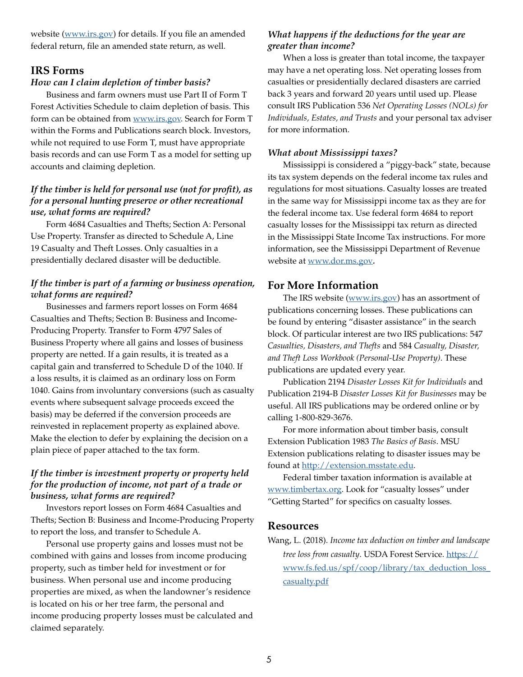website ([www.irs.gov\)](http://www.irs.gov) for details. If you file an amended federal return, file an amended state return, as well.

#### **IRS Forms**

#### *How can I claim depletion of timber basis?*

Business and farm owners must use Part II of Form T Forest Activities Schedule to claim depletion of basis. This form can be obtained from [www.irs.gov.](http://www.irs.gov) Search for Form T within the Forms and Publications search block. Investors, while not required to use Form T, must have appropriate basis records and can use Form T as a model for setting up accounts and claiming depletion.

# *If the timber is held for personal use (not for profit), as for a personal hunting preserve or other recreational use, what forms are required?*

Form 4684 Casualties and Thefts; Section A: Personal Use Property. Transfer as directed to Schedule A, Line 19 Casualty and Theft Losses. Only casualties in a presidentially declared disaster will be deductible.

# *If the timber is part of a farming or business operation, what forms are required?*

Businesses and farmers report losses on Form 4684 Casualties and Thefts; Section B: Business and Income-Producing Property. Transfer to Form 4797 Sales of Business Property where all gains and losses of business property are netted. If a gain results, it is treated as a capital gain and transferred to Schedule D of the 1040. If a loss results, it is claimed as an ordinary loss on Form 1040. Gains from involuntary conversions (such as casualty events where subsequent salvage proceeds exceed the basis) may be deferred if the conversion proceeds are reinvested in replacement property as explained above. Make the election to defer by explaining the decision on a plain piece of paper attached to the tax form.

# *If the timber is investment property or property held for the production of income, not part of a trade or business, what forms are required?*

Investors report losses on Form 4684 Casualties and Thefts; Section B: Business and Income-Producing Property to report the loss, and transfer to Schedule A.

Personal use property gains and losses must not be combined with gains and losses from income producing property, such as timber held for investment or for business. When personal use and income producing properties are mixed, as when the landowner's residence is located on his or her tree farm, the personal and income producing property losses must be calculated and claimed separately.

#### *What happens if the deductions for the year are greater than income?*

When a loss is greater than total income, the taxpayer may have a net operating loss. Net operating losses from casualties or presidentially declared disasters are carried back 3 years and forward 20 years until used up. Please consult IRS Publication 536 *Net Operating Losses (NOLs) for Individuals, Estates, and Trusts* and your personal tax adviser for more information.

#### *What about Mississippi taxes?*

Mississippi is considered a "piggy-back" state, because its tax system depends on the federal income tax rules and regulations for most situations. Casualty losses are treated in the same way for Mississippi income tax as they are for the federal income tax. Use federal form 4684 to report casualty losses for the Mississippi tax return as directed in the Mississippi State Income Tax instructions. For more information, see the Mississippi Department of Revenue website at [www.dor.ms.gov](http://www.dor.ms.gov)*.*

# **For More Information**

The IRS website [\(www.irs.gov](http://www.irs.gov)) has an assortment of publications concerning losses. These publications can be found by entering "disaster assistance" in the search block. Of particular interest are two IRS publications: 547 *Casualties, Disasters, and Thefts* and 584 *Casualty, Disaster, and Theft Loss Workbook (Personal-Use Property)*. These publications are updated every year.

Publication 2194 *Disaster Losses Kit for Individuals* and Publication 2194-B *Disaster Losses Kit for Businesses* may be useful. All IRS publications may be ordered online or by calling 1-800-829-3676.

For more information about timber basis, consult Extension Publication 1983 *The Basics of Basis*. MSU Extension publications relating to disaster issues may be found at <http://extension.msstate.edu>.

Federal timber taxation information is available at [www.timbertax.org](http://www.timbertax.org). Look for "casualty losses" under "Getting Started" for specifics on casualty losses.

#### **Resources**

Wang, L. (2018). *Income tax deduction on timber and landscape tree loss from casualty*. USDA Forest Service. [https://](https://www.fs.fed.us/spf/coop/library/tax_deduction_loss_casualty.pdf) [www.fs.fed.us/spf/coop/library/tax\\_deduction\\_loss\\_](https://www.fs.fed.us/spf/coop/library/tax_deduction_loss_casualty.pdf) [casualty.pdf](https://www.fs.fed.us/spf/coop/library/tax_deduction_loss_casualty.pdf)